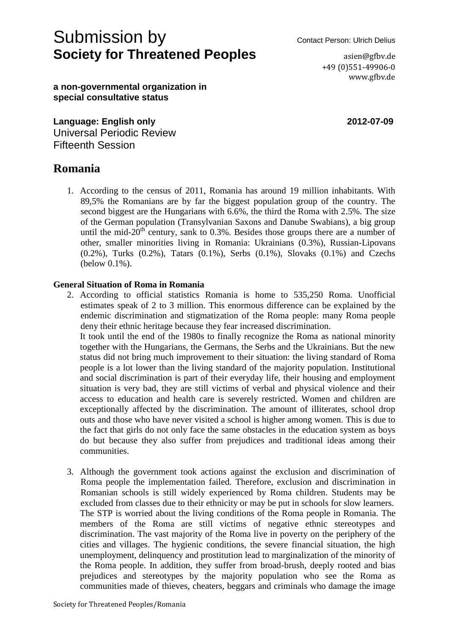# Submission by Contact Person: Ulrich Delius **Society for Threatened Peoples and a signify asign asign example.**

+49 (0)551-49906-0 www.gfbv.de

**a non-governmental organization in special consultative status**

**Language: English only 2012-07-09** Universal Periodic Review Fifteenth Session

# **Romania**

1. According to the census of 2011, Romania has around 19 million inhabitants. With 89,5% the Romanians are by far the biggest population group of the country. The second biggest are the Hungarians with 6.6%, the third the Roma with 2.5%. The size of the German population (Transylvanian Saxons and Danube Swabians), a big group until the mid- $20<sup>th</sup>$  century, sank to 0.3%. Besides those groups there are a number of other, smaller minorities living in Romania: Ukrainians (0.3%), Russian-Lipovans (0.2%), Turks (0.2%), Tatars (0.1%), Serbs (0.1%), Slovaks (0.1%) and Czechs (below 0.1%).

## **General Situation of Roma in Romania**

2. According to official statistics Romania is home to 535,250 Roma. Unofficial estimates speak of 2 to 3 million. This enormous difference can be explained by the endemic discrimination and stigmatization of the Roma people: many Roma people deny their ethnic heritage because they fear increased discrimination.

It took until the end of the 1980s to finally recognize the Roma as national minority together with the Hungarians, the Germans, the Serbs and the Ukrainians. But the new status did not bring much improvement to their situation: the living standard of Roma people is a lot lower than the living standard of the majority population. Institutional and social discrimination is part of their everyday life, their housing and employment situation is very bad, they are still victims of verbal and physical violence and their access to education and health care is severely restricted. Women and children are exceptionally affected by the discrimination. The amount of illiterates, school drop outs and those who have never visited a school is higher among women. This is due to the fact that girls do not only face the same obstacles in the education system as boys do but because they also suffer from prejudices and traditional ideas among their communities.

3. Although the government took actions against the exclusion and discrimination of Roma people the implementation failed. Therefore, exclusion and discrimination in Romanian schools is still widely experienced by Roma children. Students may be excluded from classes due to their ethnicity or may be put in schools for slow learners. The STP is worried about the living conditions of the Roma people in Romania. The members of the Roma are still victims of negative ethnic stereotypes and discrimination. The vast majority of the Roma live in poverty on the periphery of the cities and villages. The hygienic conditions, the severe financial situation, the high unemployment, delinquency and prostitution lead to marginalization of the minority of the Roma people. In addition, they suffer from broad-brush, deeply rooted and bias prejudices and stereotypes by the majority population who see the Roma as communities made of thieves, cheaters, beggars and criminals who damage the image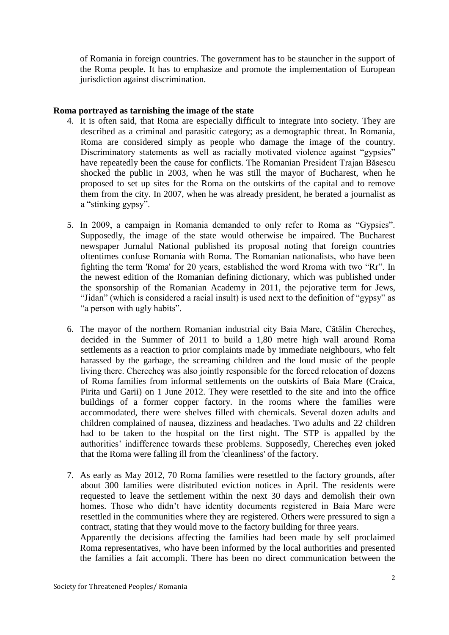of Romania in foreign countries. The government has to be stauncher in the support of the Roma people. It has to emphasize and promote the implementation of European jurisdiction against discrimination.

### **Roma portrayed as tarnishing the image of the state**

- 4. It is often said, that Roma are especially difficult to integrate into society. They are described as a criminal and parasitic category; as a demographic threat. In Romania, Roma are considered simply as people who damage the image of the country. Discriminatory statements as well as racially motivated violence against "gypsies" have repeatedly been the cause for conflicts. The Romanian President Trajan Băsescu shocked the public in 2003, when he was still the mayor of Bucharest, when he proposed to set up sites for the Roma on the outskirts of the capital and to remove them from the city. In 2007, when he was already president, he berated a journalist as a "stinking gypsy".
- 5. In 2009, a campaign in Romania demanded to only refer to Roma as "Gypsies". Supposedly, the image of the state would otherwise be impaired. The Bucharest newspaper Jurnalul National published its proposal noting that foreign countries oftentimes confuse Romania with Roma. The Romanian nationalists, who have been fighting the term 'Roma' for 20 years, established the word Rroma with two "Rr". In the newest edition of the Romanian defining dictionary, which was published under the sponsorship of the Romanian Academy in 2011, the pejorative term for Jews, "Jidan" (which is considered a racial insult) is used next to the definition of "gypsy" as "a person with ugly habits".
- 6. The mayor of the northern Romanian industrial city Baia Mare, Cătălin Cherecheş, decided in the Summer of 2011 to build a 1,80 metre high wall around Roma settlements as a reaction to prior complaints made by immediate neighbours, who felt harassed by the garbage, the screaming children and the loud music of the people living there. Cherecheş was also jointly responsible for the forced relocation of dozens of Roma families from informal settlements on the outskirts of Baia Mare (Craica, Pirita und Garii) on 1 June 2012. They were resettled to the site and into the office buildings of a former copper factory. In the rooms where the families were accommodated, there were shelves filled with chemicals. Several dozen adults and children complained of nausea, dizziness and headaches. Two adults and 22 children had to be taken to the hospital on the first night. The STP is appalled by the authorities' indifference towards these problems. Supposedly, Cherecheş even joked that the Roma were falling ill from the 'cleanliness' of the factory.
- 7. As early as May 2012, 70 Roma families were resettled to the factory grounds, after about 300 families were distributed eviction notices in April. The residents were requested to leave the settlement within the next 30 days and demolish their own homes. Those who didn't have identity documents registered in Baia Mare were resettled in the communities where they are registered. Others were pressured to sign a contract, stating that they would move to the factory building for three years. Apparently the decisions affecting the families had been made by self proclaimed Roma representatives, who have been informed by the local authorities and presented the families a fait accompli. There has been no direct communication between the